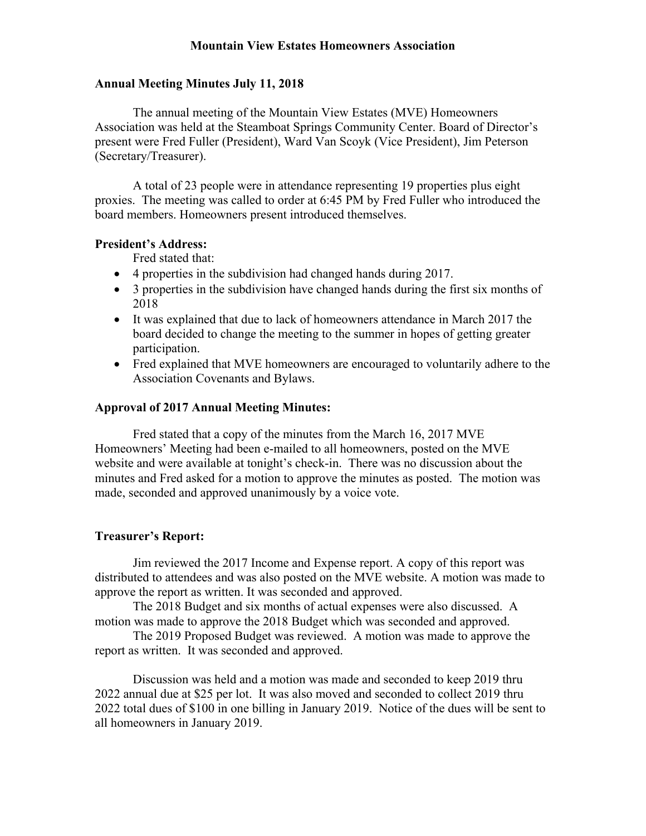# **Mountain View Estates Homeowners Association**

## **Annual Meeting Minutes July 11, 2018**

The annual meeting of the Mountain View Estates (MVE) Homeowners Association was held at the Steamboat Springs Community Center. Board of Director's present were Fred Fuller (President), Ward Van Scoyk (Vice President), Jim Peterson (Secretary/Treasurer).

A total of 23 people were in attendance representing 19 properties plus eight proxies. The meeting was called to order at 6:45 PM by Fred Fuller who introduced the board members. Homeowners present introduced themselves.

### **President's Address:**

Fred stated that:

- 4 properties in the subdivision had changed hands during 2017.
- 3 properties in the subdivision have changed hands during the first six months of 2018
- It was explained that due to lack of homeowners attendance in March 2017 the board decided to change the meeting to the summer in hopes of getting greater participation.
- Fred explained that MVE homeowners are encouraged to voluntarily adhere to the Association Covenants and Bylaws.

## **Approval of 2017 Annual Meeting Minutes:**

Fred stated that a copy of the minutes from the March 16, 2017 MVE Homeowners' Meeting had been e-mailed to all homeowners, posted on the MVE website and were available at tonight's check-in. There was no discussion about the minutes and Fred asked for a motion to approve the minutes as posted. The motion was made, seconded and approved unanimously by a voice vote.

## **Treasurer's Report:**

Jim reviewed the 2017 Income and Expense report. A copy of this report was distributed to attendees and was also posted on the MVE website. A motion was made to approve the report as written. It was seconded and approved.

The 2018 Budget and six months of actual expenses were also discussed. A motion was made to approve the 2018 Budget which was seconded and approved.

The 2019 Proposed Budget was reviewed. A motion was made to approve the report as written. It was seconded and approved.

Discussion was held and a motion was made and seconded to keep 2019 thru 2022 annual due at \$25 per lot. It was also moved and seconded to collect 2019 thru 2022 total dues of \$100 in one billing in January 2019. Notice of the dues will be sent to all homeowners in January 2019.